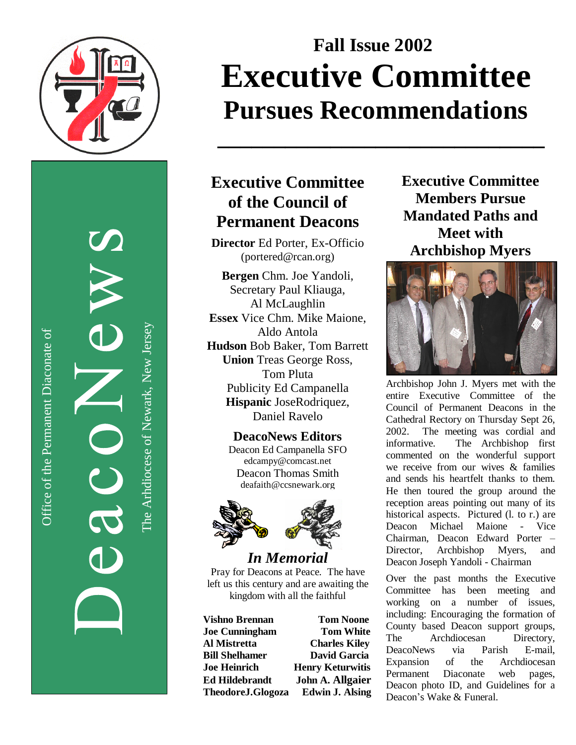

Office of the Permanent Diaconate of Office of the Permanent Diaconate of

The Arhdiocese of Newark, New JerseyThe Arhdiocese of Newark, New Jersey

# **Fall Issue 2002** Executive Committee Pursues Recommendations

# Executive Committee **of the Council of Permanent Deacons**

**\_ \_ \_ \_ \_ \_ \_ \_ \_ \_ \_ \_ \_ \_ \_ \_ \_ \_ \_ \_ \_ \_ \_ \_ \_ \_ \_ \_ \_**

Director Ed Porter, Ex-Officio (portered@rcan.org)

Bergen Chm. Joe Yandoli, Secretary Paul Kliauga, Al McLaughlin **Essex** Vice Chm. Mike Maione, Aldo Antola Hudson Bob Baker, Tom Barrett **Union** Treas George Ross, Tom Pluta Publicity Ed Campanella Hispanic JoseRodriquez, Daniel Ravelo

> **DeacoNews Editors** Deacon Ed Campanella SFO edcampy@comcast.net Deacon Thomas Smith deafaith@ccsnewark.org



*In Me m o r i a l* Pray for Deacons at Peace. The have left us this century and are awaiting the kingdom with all the faithful

**Vishno Brennan Joe Cunningham Al Mistretta Bill Shelhamer J o e H e i n r i c h** Ed Hildebrandt **TheodoreJ.Glogoza** 

**Tom Noone T o m W h i t e Charles Kiley David Garcia Henry Keturwitis John A. Allgaier** Edwin J. Alsing Executive Committee **Members Pursue Mandated Paths and Meet** with Archbishop Myers



Archbishop John J. Myers met with the entire Executive Committee of the Council of Permanent Deacons in the Cathedral Rectory on Thursday Sept 26, 2002. The meeting was cordial and informative. The Archbishop first commented on the wonderful support we receive from our wives  $\&$  families and sends his heartfelt thanks to them. He then toured the group around the reception areas pointing out many of its historical aspects. Pictured (l. to r.) are Deacon Michael Maione - Vice Chairman, Deacon Edward Porter -Director, Archbishop Myers, a n d Deacon Joseph Yandoli - Chairman

Over the past months the Executive Committee has been meeting and working on a number of issues, including: Encouraging the formation of County based Deacon support groups, **The** Archdiocesan Directory, DeacoNews v i a Parish E-mail, Expansion o f t h e Archdiocesan Permanent Diaconate w eb pages, Deacon photo ID, and Guidelines for a Deacon's Wake & Funeral.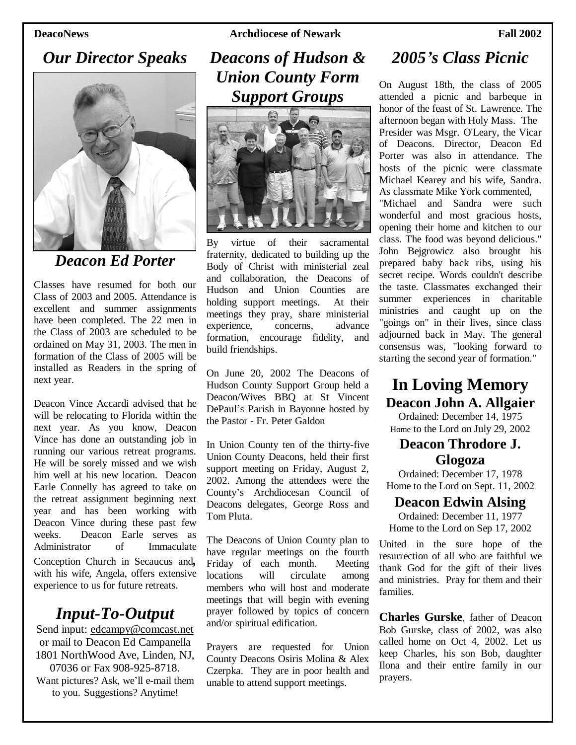**DeacoNews Archdiocese of Newark Fall 2002**

# *Our Director Speaks*



# *Deacon Ed Porter*

Classes have resumed for both our Class of 2003 and 2005. Attendance is excellent and summer assignments have been completed. The 22 men in the Class of 2003 are scheduled to be ordained on May 31, 2003. The men in formation of the Class of 2005 will be installed as Readers in the spring of next year.

Deacon Vince Accardi advised that he will be relocating to Florida within the next year. As you know, Deacon Vince has done an outstanding job in running our various retreat programs. He will be sorely missed and we wish him well at his new location. Deacon Earle Connelly has agreed to take on the retreat assignment beginning next year and has been working with Deacon Vince during these past few weeks. Deacon Earle serves as Administrator of Immaculate Conception Church in Secaucus and*,* with his wife, Angela, offers extensive experience to us for future retreats.

### *Input-To-Output*

Send input: edcampy@comcast.net or mail to Deacon Ed Campanella 1801 NorthWood Ave, Linden, NJ, 07036 or Fax 908-925-8718. Want pictures? Ask, we'll e-mail them to you. Suggestions? Anytime!

# *Deacons of Hudson & Union County Form Support Groups*



By virtue of their sacramental fraternity, dedicated to building up the Body of Christ with ministerial zeal and collaboration, the Deacons of Hudson and Union Counties are holding support meetings. At their meetings they pray, share ministerial experience, concerns, advance formation, encourage fidelity, and build friendships.

On June 20, 2002 The Deacons of Hudson County Support Group held a Deacon/Wives BBQ at St Vincent DePaul's Parish in Bayonne hosted by the Pastor - Fr. Peter Galdon

In Union County ten of the thirty-five Union County Deacons, held their first support meeting on Friday, August 2, 2002. Among the attendees were the County's Archdiocesan Council of Deacons delegates, George Ross and Tom Pluta.

The Deacons of Union County plan to have regular meetings on the fourth Friday of each month. Meeting locations will circulate among members who will host and moderate meetings that will begin with evening prayer followed by topics of concern and/or spiritual edification.

Prayers are requested for Union County Deacons Osiris Molina & Alex Czerpka. They are in poor health and unable to attend support meetings.

### *2005's Class Picnic*

On August 18th, the class of 2005 attended a picnic and barbeque in honor of the feast of St. Lawrence. The afternoon began with Holy Mass. The Presider was Msgr. O'Leary, the Vicar of Deacons. Director, Deacon Ed Porter was also in attendance. The hosts of the picnic were classmate Michael Kearey and his wife, Sandra. As classmate Mike York commented, "Michael and Sandra were such wonderful and most gracious hosts, opening their home and kitchen to our class. The food was beyond delicious." John Bejgrowicz also brought his prepared baby back ribs, using his secret recipe. Words couldn't describe the taste. Classmates exchanged their summer experiences in charitable ministries and caught up on the "goings on" in their lives, since class adjourned back in May. The general consensus was, "looking forward to starting the second year of formation."

# **In Loving Memory Deacon John A. Allgaier**

Ordained: December 14, 1975 Home to the Lord on July 29, 2002

#### **Deacon Throdore J. Glogoza**

Ordained: December 17, 1978 Home to the Lord on Sept. 11, 2002

#### **Deacon Edwin Alsing**

Ordained: December 11, 1977 Home to the Lord on Sep 17, 2002

United in the sure hope of the resurrection of all who are faithful we thank God for the gift of their lives and ministries. Pray for them and their families.

**Charles Gurske**, father of Deacon Bob Gurske, class of 2002, was also called home on Oct 4, 2002. Let us keep Charles, his son Bob, daughter Ilona and their entire family in our prayers.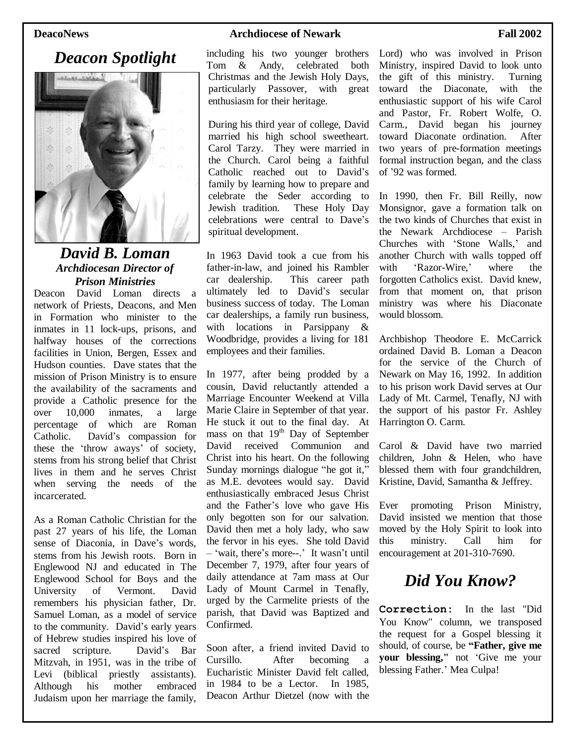### *Deacon Spotlight*



#### *David B. Loman Archdiocesan Director of Prison Ministries*

Deacon David Loman directs a network of Priests, Deacons, and Men in Formation who minister to the inmates in 11 lock-ups, prisons, and halfway houses of the corrections facilities in Union, Bergen, Essex and Hudson counties. Dave states that the mission of Prison Ministry is to ensure the availability of the sacraments and provide a Catholic presence for the over 10,000 inmates, a large percentage of which are Roman Catholic. David's compassion for these the 'throw aways'of society, stems from his strong belief that Christ lives in them and he serves Christ when serving the needs of the incarcerated.

As a Roman Catholic Christian for the past 27 years of his life, the Loman sense of Diaconia, in Dave's words, stems from his Jewish roots. Born in Englewood NJ and educated in The Englewood School for Boys and the University of Vermont. David remembers his physician father, Dr. Samuel Loman, as a model of service to the community. David's early years of Hebrew studies inspired his love of sacred scripture. David's Bar Mitzvah, in 1951, was in the tribe of Levi (biblical priestly assistants). Although his mother embraced Judaism upon her marriage the family,

#### **DeacoNews Archdiocese of Newark Fall 2002**

including his two younger brothers Tom & Andy, celebrated both Christmas and the Jewish Holy Days, particularly Passover, with great enthusiasm for their heritage.

During his third year of college, David married his high school sweetheart. Carol Tarzy. They were married in the Church. Carol being a faithful Catholic reached out to David's family by learning how to prepare and celebrate the Seder according to Jewish tradition. These Holy Day celebrations were central to Dave's spiritual development.

In 1963 David took a cue from his father-in-law, and joined his Rambler car dealership. This career path ultimately led to David's secular business success of today. The Loman car dealerships, a family run business, with locations in Parsippany & Woodbridge, provides a living for 181 employees and their families.

In 1977, after being prodded by a cousin, David reluctantly attended a Marriage Encounter Weekend at Villa Marie Claire in September of that year. He stuck it out to the final day. At mass on that 19<sup>th</sup> Day of September David received Communion and Christ into his heart. On the following Sunday mornings dialogue "he got it," as M.E. devotees would say. David enthusiastically embraced Jesus Christ and the Father's love who gave His only begotten son for our salvation. David then met a holy lady, who saw the fervor in his eyes. She told David –'wait, there's more--.'It wasn't until December 7, 1979, after four years of daily attendance at 7am mass at Our Lady of Mount Carmel in Tenafly, urged by the Carmelite priests of the parish, that David was Baptized and Confirmed.

Soon after, a friend invited David to Cursillo. After becoming a Eucharistic Minister David felt called, in 1984 to be a Lector. In 1985, Deacon Arthur Dietzel (now with the

Lord) who was involved in Prison Ministry, inspired David to look unto the gift of this ministry. Turning toward the Diaconate, with the enthusiastic support of his wife Carol and Pastor, Fr. Robert Wolfe, O. Carm., David began his journey toward Diaconate ordination. After two years of pre-formation meetings formal instruction began, and the class of '92 was formed.

In 1990, then Fr. Bill Reilly, now Monsignor, gave a formation talk on the two kinds of Churches that exist in the Newark Archdiocese – Parish Churches with 'Stone Walls,'and another Church with walls topped off with 'Razor-Wire,' where the forgotten Catholics exist. David knew, from that moment on, that prison ministry was where his Diaconate would blossom.

Archbishop Theodore E. McCarrick ordained David B. Loman a Deacon for the service of the Church of Newark on May 16, 1992. In addition to his prison work David serves at Our Lady of Mt. Carmel, Tenafly, NJ with the support of his pastor Fr. Ashley Harrington O. Carm.

Carol & David have two married children, John & Helen, who have blessed them with four grandchildren, Kristine, David, Samantha & Jeffrey.

Ever promoting Prison Ministry, David insisted we mention that those moved by the Holy Spirit to look into this ministry. Call him for encouragement at 201-310-7690.

## *Did You Know?*

**Correction:** In the last "Did You Know" column, we transposed the request for a Gospel blessing it should, of course, be **"Father, give me your blessing,"** not 'Give me your blessing Father.' Mea Culpa!